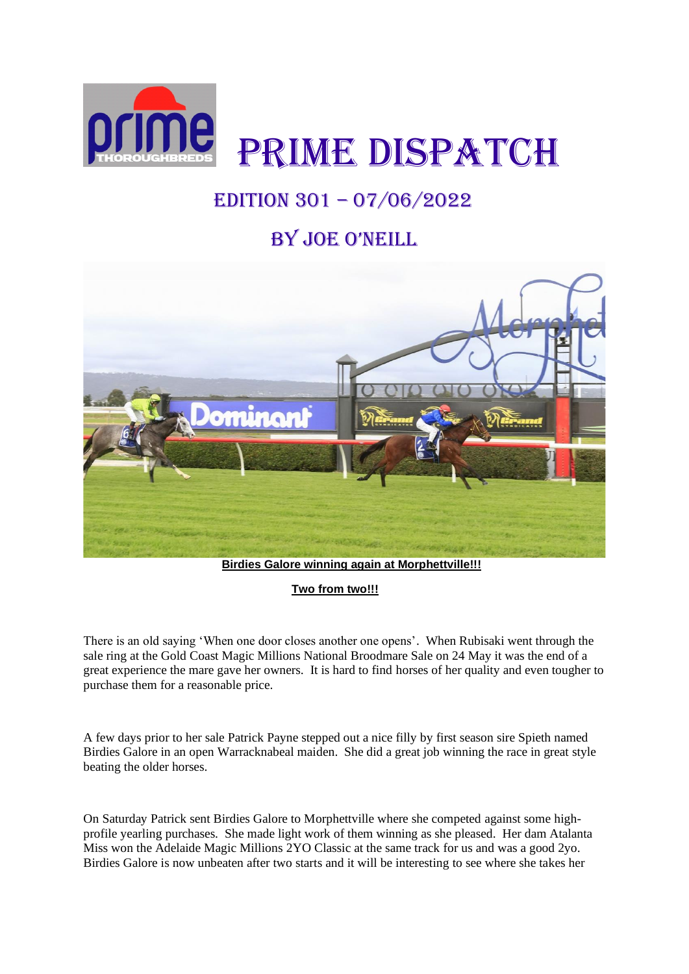

## EDITION 301 – 07/06/2022

## by Joe o'NeILL



 **Birdies Galore winning again at Morphettville!!!**

**Two from two!!!**

There is an old saying 'When one door closes another one opens'. When Rubisaki went through the sale ring at the Gold Coast Magic Millions National Broodmare Sale on 24 May it was the end of a great experience the mare gave her owners. It is hard to find horses of her quality and even tougher to purchase them for a reasonable price.

A few days prior to her sale Patrick Payne stepped out a nice filly by first season sire Spieth named Birdies Galore in an open Warracknabeal maiden. She did a great job winning the race in great style beating the older horses.

On Saturday Patrick sent Birdies Galore to Morphettville where she competed against some highprofile yearling purchases. She made light work of them winning as she pleased. Her dam Atalanta Miss won the Adelaide Magic Millions 2YO Classic at the same track for us and was a good 2yo. Birdies Galore is now unbeaten after two starts and it will be interesting to see where she takes her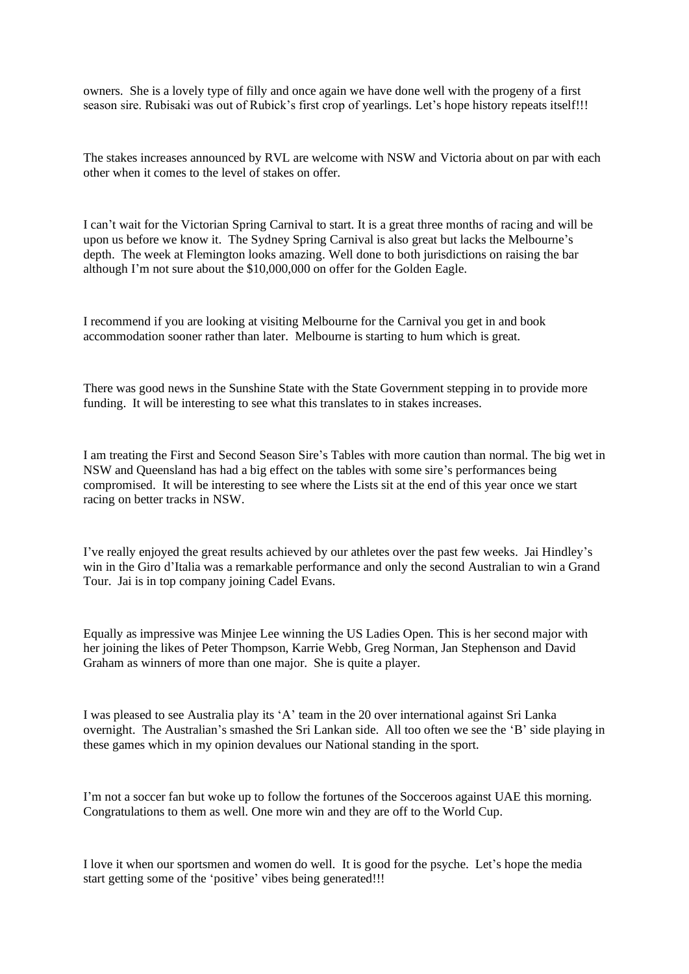owners. She is a lovely type of filly and once again we have done well with the progeny of a first season sire. Rubisaki was out of Rubick's first crop of yearlings. Let's hope history repeats itself!!!

The stakes increases announced by RVL are welcome with NSW and Victoria about on par with each other when it comes to the level of stakes on offer.

I can't wait for the Victorian Spring Carnival to start. It is a great three months of racing and will be upon us before we know it. The Sydney Spring Carnival is also great but lacks the Melbourne's depth. The week at Flemington looks amazing. Well done to both jurisdictions on raising the bar although I'm not sure about the \$10,000,000 on offer for the Golden Eagle.

I recommend if you are looking at visiting Melbourne for the Carnival you get in and book accommodation sooner rather than later. Melbourne is starting to hum which is great.

There was good news in the Sunshine State with the State Government stepping in to provide more funding. It will be interesting to see what this translates to in stakes increases.

I am treating the First and Second Season Sire's Tables with more caution than normal. The big wet in NSW and Queensland has had a big effect on the tables with some sire's performances being compromised. It will be interesting to see where the Lists sit at the end of this year once we start racing on better tracks in NSW.

I've really enjoyed the great results achieved by our athletes over the past few weeks. Jai Hindley's win in the Giro d'Italia was a remarkable performance and only the second Australian to win a Grand Tour. Jai is in top company joining Cadel Evans.

Equally as impressive was Minjee Lee winning the US Ladies Open. This is her second major with her joining the likes of Peter Thompson, Karrie Webb, Greg Norman, Jan Stephenson and David Graham as winners of more than one major. She is quite a player.

I was pleased to see Australia play its 'A' team in the 20 over international against Sri Lanka overnight. The Australian's smashed the Sri Lankan side. All too often we see the 'B' side playing in these games which in my opinion devalues our National standing in the sport.

I'm not a soccer fan but woke up to follow the fortunes of the Socceroos against UAE this morning. Congratulations to them as well. One more win and they are off to the World Cup.

I love it when our sportsmen and women do well. It is good for the psyche. Let's hope the media start getting some of the 'positive' vibes being generated!!!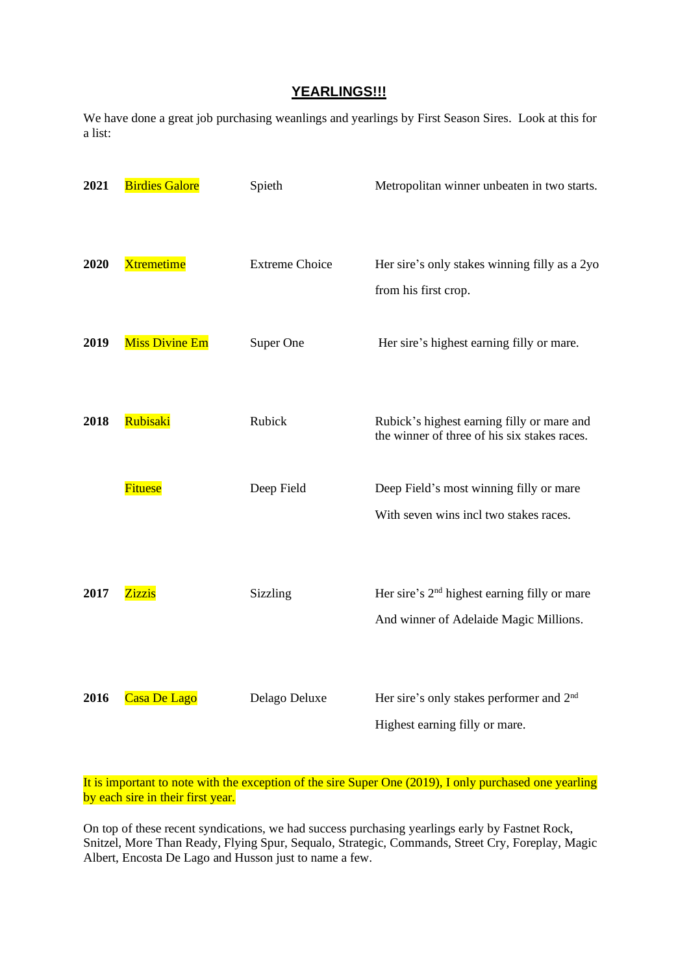## **YEARLINGS!!!**

We have done a great job purchasing weanlings and yearlings by First Season Sires. Look at this for a list:

| 2021 | <b>Birdies Galore</b> | Spieth                | Metropolitan winner unbeaten in two starts.                                                |
|------|-----------------------|-----------------------|--------------------------------------------------------------------------------------------|
| 2020 | <b>Xtremetime</b>     | <b>Extreme Choice</b> | Her sire's only stakes winning filly as a 2yo<br>from his first crop.                      |
| 2019 | <b>Miss Divine Em</b> | Super One             | Her sire's highest earning filly or mare.                                                  |
| 2018 | Rubisaki              | Rubick                | Rubick's highest earning filly or mare and<br>the winner of three of his six stakes races. |
|      | <b>Fituese</b>        | Deep Field            | Deep Field's most winning filly or mare                                                    |
|      |                       |                       | With seven wins incl two stakes races.                                                     |
| 2017 | <b>Zizzis</b>         | Sizzling              | Her sire's 2 <sup>nd</sup> highest earning filly or mare                                   |
|      |                       |                       | And winner of Adelaide Magic Millions.                                                     |
| 2016 | Casa De Lago          | Delago Deluxe         | Her sire's only stakes performer and 2 <sup>nd</sup><br>Highest earning filly or mare.     |

It is important to note with the exception of the sire Super One (2019), I only purchased one yearling by each sire in their first year.

On top of these recent syndications, we had success purchasing yearlings early by Fastnet Rock, Snitzel, More Than Ready, Flying Spur, Sequalo, Strategic, Commands, Street Cry, Foreplay, Magic Albert, Encosta De Lago and Husson just to name a few.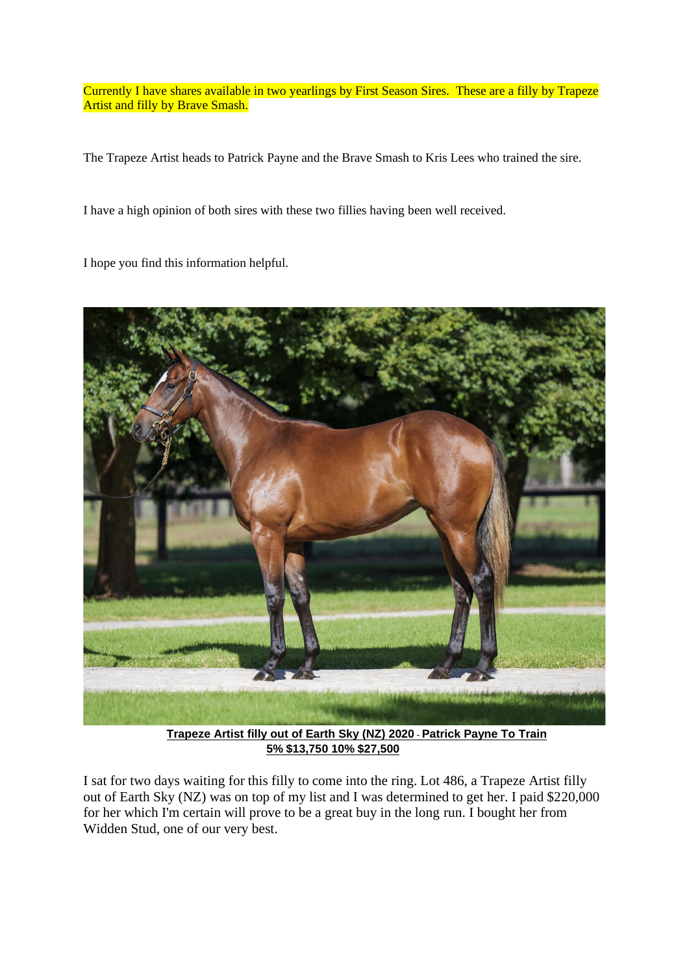Currently I have shares available in two yearlings by First Season Sires. These are a filly by Trapeze Artist and filly by Brave Smash.

The Trapeze Artist heads to Patrick Payne and the Brave Smash to Kris Lees who trained the sire.

I have a high opinion of both sires with these two fillies having been well received.

I hope you find this information helpful.



**Trapeze Artist filly out of Earth Sky (NZ) 2020**- **Patrick Payne To Train 5% \$13,750 10% \$27,500**

I sat for two days waiting for this filly to come into the ring. Lot 486, a Trapeze Artist filly out of Earth Sky (NZ) was on top of my list and I was determined to get her. I paid \$220,000 for her which I'm certain will prove to be a great buy in the long run. I bought her from Widden Stud, one of our very best.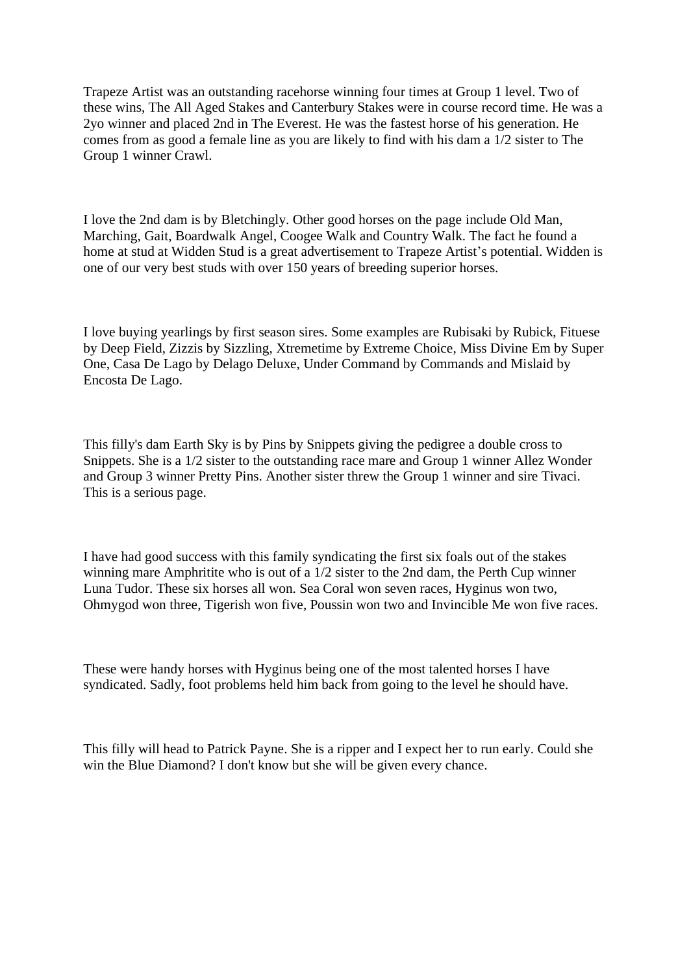Trapeze Artist was an outstanding racehorse winning four times at Group 1 level. Two of these wins, The All Aged Stakes and Canterbury Stakes were in course record time. He was a 2yo winner and placed 2nd in The Everest. He was the fastest horse of his generation. He comes from as good a female line as you are likely to find with his dam a  $1/2$  sister to The Group 1 winner Crawl.

I love the 2nd dam is by Bletchingly. Other good horses on the page include Old Man, Marching, Gait, Boardwalk Angel, Coogee Walk and Country Walk. The fact he found a home at stud at Widden Stud is a great advertisement to Trapeze Artist's potential. Widden is one of our very best studs with over 150 years of breeding superior horses.

I love buying yearlings by first season sires. Some examples are Rubisaki by Rubick, Fituese by Deep Field, Zizzis by Sizzling, Xtremetime by Extreme Choice, Miss Divine Em by Super One, Casa De Lago by Delago Deluxe, Under Command by Commands and Mislaid by Encosta De Lago.

This filly's dam Earth Sky is by Pins by Snippets giving the pedigree a double cross to Snippets. She is a 1/2 sister to the outstanding race mare and Group 1 winner Allez Wonder and Group 3 winner Pretty Pins. Another sister threw the Group 1 winner and sire Tivaci. This is a serious page.

I have had good success with this family syndicating the first six foals out of the stakes winning mare Amphritite who is out of a 1/2 sister to the 2nd dam, the Perth Cup winner Luna Tudor. These six horses all won. Sea Coral won seven races, Hyginus won two, Ohmygod won three, Tigerish won five, Poussin won two and Invincible Me won five races.

These were handy horses with Hyginus being one of the most talented horses I have syndicated. Sadly, foot problems held him back from going to the level he should have.

This filly will head to Patrick Payne. She is a ripper and I expect her to run early. Could she win the Blue Diamond? I don't know but she will be given every chance.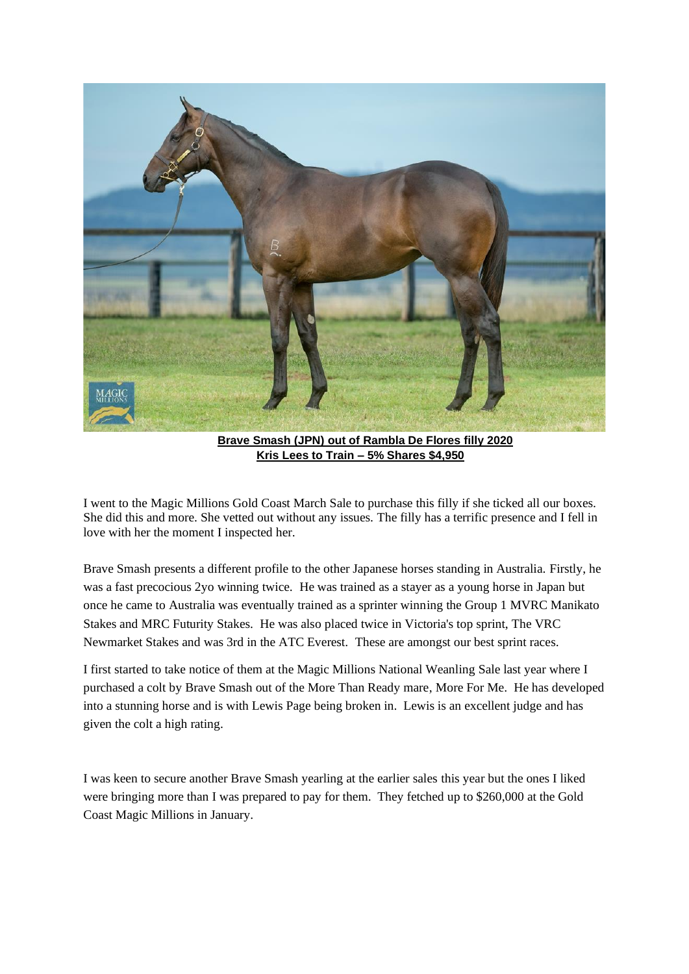

 **Brave Smash (JPN) out of Rambla De Flores filly 2020 Kris Lees to Train – 5% Shares \$4,950**

I went to the Magic Millions Gold Coast March Sale to purchase this filly if she ticked all our boxes. She did this and more. She vetted out without any issues. The filly has a terrific presence and I fell in love with her the moment I inspected her.

Brave Smash presents a different profile to the other Japanese horses standing in Australia. Firstly, he was a fast precocious 2yo winning twice. He was trained as a stayer as a young horse in Japan but once he came to Australia was eventually trained as a sprinter winning the Group 1 MVRC Manikato Stakes and MRC Futurity Stakes. He was also placed twice in Victoria's top sprint, The VRC Newmarket Stakes and was 3rd in the ATC Everest. These are amongst our best sprint races.

I first started to take notice of them at the Magic Millions National Weanling Sale last year where I purchased a colt by Brave Smash out of the More Than Ready mare, More For Me. He has developed into a stunning horse and is with Lewis Page being broken in. Lewis is an excellent judge and has given the colt a high rating.

I was keen to secure another Brave Smash yearling at the earlier sales this year but the ones I liked were bringing more than I was prepared to pay for them. They fetched up to \$260,000 at the Gold Coast Magic Millions in January.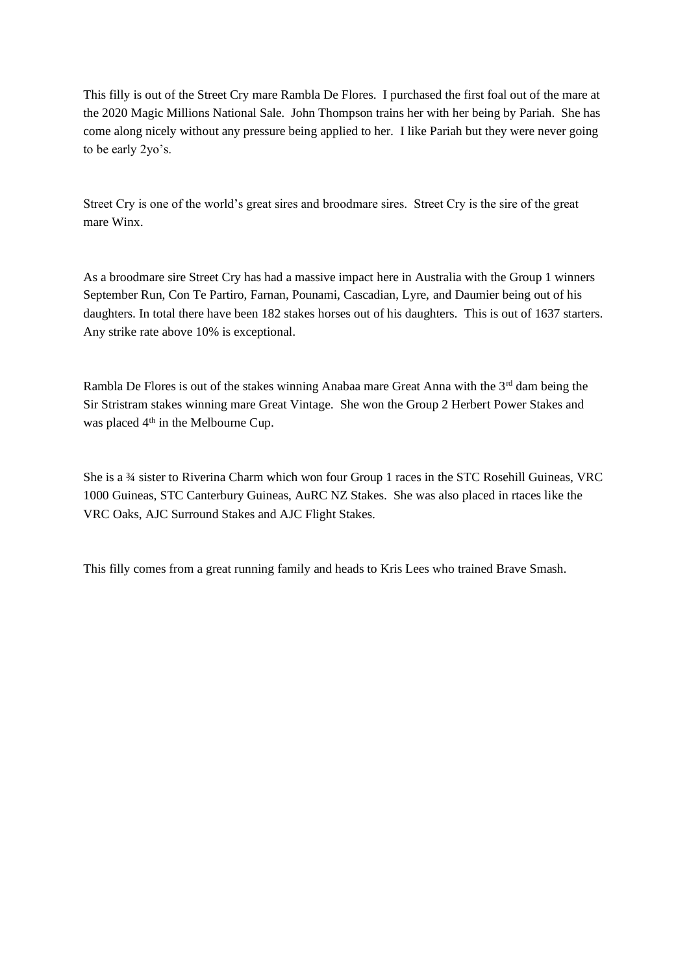This filly is out of the Street Cry mare Rambla De Flores. I purchased the first foal out of the mare at the 2020 Magic Millions National Sale. John Thompson trains her with her being by Pariah. She has come along nicely without any pressure being applied to her. I like Pariah but they were never going to be early 2yo's.

Street Cry is one of the world's great sires and broodmare sires. Street Cry is the sire of the great mare Winx.

As a broodmare sire Street Cry has had a massive impact here in Australia with the Group 1 winners September Run, Con Te Partiro, Farnan, Pounami, Cascadian, Lyre, and Daumier being out of his daughters. In total there have been 182 stakes horses out of his daughters. This is out of 1637 starters. Any strike rate above 10% is exceptional.

Rambla De Flores is out of the stakes winning Anabaa mare Great Anna with the 3<sup>rd</sup> dam being the Sir Stristram stakes winning mare Great Vintage. She won the Group 2 Herbert Power Stakes and was placed 4<sup>th</sup> in the Melbourne Cup.

She is a ¾ sister to Riverina Charm which won four Group 1 races in the STC Rosehill Guineas, VRC 1000 Guineas, STC Canterbury Guineas, AuRC NZ Stakes. She was also placed in rtaces like the VRC Oaks, AJC Surround Stakes and AJC Flight Stakes.

This filly comes from a great running family and heads to Kris Lees who trained Brave Smash.